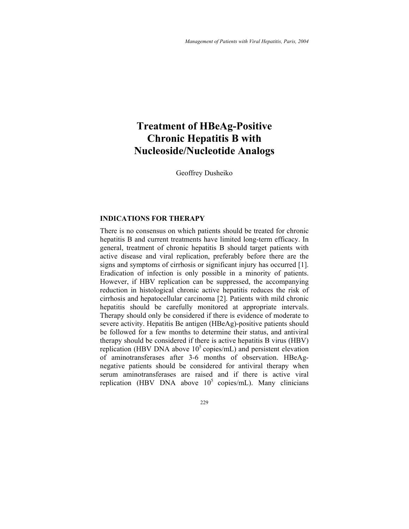# **Treatment of HBeAg-Positive Chronic Hepatitis B with Nucleoside/Nucleotide Analogs**

Geoffrey Dusheiko

# **INDICATIONS FOR THERAPY**

There is no consensus on which patients should be treated for chronic hepatitis B and current treatments have limited long-term efficacy. In general, treatment of chronic hepatitis B should target patients with active disease and viral replication, preferably before there are the signs and symptoms of cirrhosis or significant injury has occurred [1]. Eradication of infection is only possible in a minority of patients. However, if HBV replication can be suppressed, the accompanying reduction in histological chronic active hepatitis reduces the risk of cirrhosis and hepatocellular carcinoma [2]. Patients with mild chronic hepatitis should be carefully monitored at appropriate intervals. Therapy should only be considered if there is evidence of moderate to severe activity. Hepatitis Be antigen (HBeAg)-positive patients should be followed for a few months to determine their status, and antiviral therapy should be considered if there is active hepatitis B virus (HBV) replication (HBV DNA above  $10<sup>5</sup>$  copies/mL) and persistent elevation of aminotransferases after 3-6 months of observation. HBeAgnegative patients should be considered for antiviral therapy when serum aminotransferases are raised and if there is active viral replication (HBV DNA above  $10^5$  copies/mL). Many clinicians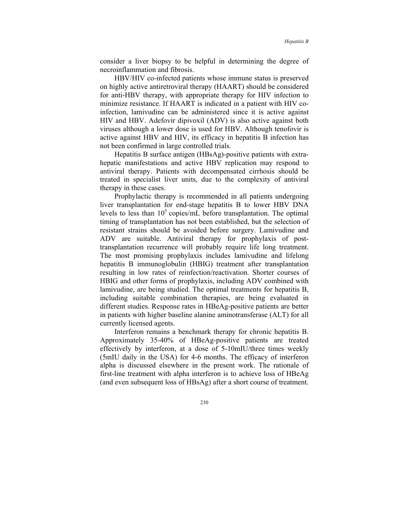consider a liver biopsy to be helpful in determining the degree of necroinflammation and fibrosis.

HBV/HIV co-infected patients whose immune status is preserved on highly active antiretroviral therapy (HAART) should be considered for anti-HBV therapy, with appropriate therapy for HIV infection to minimize resistance. If HAART is indicated in a patient with HIV coinfection, lamivudine can be administered since it is active against HIV and HBV. Adefovir dipivoxil (ADV) is also active against both viruses although a lower dose is used for HBV. Although tenofovir is active against HBV and HIV, its efficacy in hepatitis B infection has not been confirmed in large controlled trials.

Hepatitis B surface antigen (HBsAg)-positive patients with extrahepatic manifestations and active HBV replication may respond to antiviral therapy. Patients with decompensated cirrhosis should be treated in specialist liver units, due to the complexity of antiviral therapy in these cases.

Prophylactic therapy is recommended in all patients undergoing liver transplantation for end-stage hepatitis B to lower HBV DNA levels to less than  $10<sup>5</sup>$  copies/mL before transplantation. The optimal timing of transplantation has not been established, but the selection of resistant strains should be avoided before surgery. Lamivudine and ADV are suitable. Antiviral therapy for prophylaxis of posttransplantation recurrence will probably require life long treatment. The most promising prophylaxis includes lamivudine and lifelong hepatitis B immunoglobulin (HBIG) treatment after transplantation resulting in low rates of reinfection/reactivation. Shorter courses of HBIG and other forms of prophylaxis, including ADV combined with lamivudine, are being studied. The optimal treatments for hepatitis B, including suitable combination therapies, are being evaluated in different studies. Response rates in HBeAg-positive patients are better in patients with higher baseline alanine aminotransferase (ALT) for all currently licensed agents.

Interferon remains a benchmark therapy for chronic hepatitis B. Approximately 35-40% of HBeAg-positive patients are treated effectively by interferon, at a dose of 5-10mIU/three times weekly (5mIU daily in the USA) for 4-6 months. The efficacy of interferon alpha is discussed elsewhere in the present work. The rationale of first-line treatment with alpha interferon is to achieve loss of HBeAg (and even subsequent loss of HBsAg) after a short course of treatment.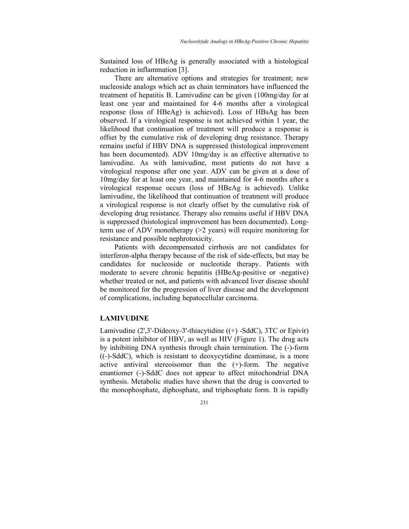Sustained loss of HBeAg is generally associated with a histological reduction in inflammation [3].

There are alternative options and strategies for treatment; new nucleoside analogs which act as chain terminators have influenced the treatment of hepatitis B. Lamivudine can be given (100mg/day for at least one year and maintained for 4-6 months after a virological response (loss of HBeAg) is achieved). Loss of HBsAg has been observed. If a virological response is not achieved within 1 year, the likelihood that continuation of treatment will produce a response is offset by the cumulative risk of developing drug resistance. Therapy remains useful if HBV DNA is suppressed (histological improvement has been documented). ADV 10mg/day is an effective alternative to lamivudine. As with lamivudine, most patients do not have a virological response after one year. ADV can be given at a dose of 10mg/day for at least one year, and maintained for 4-6 months after a virological response occurs (loss of HBeAg is achieved). Unlike lamivudine, the likelihood that continuation of treatment will produce a virological response is not clearly offset by the cumulative risk of developing drug resistance. Therapy also remains useful if HBV DNA is suppressed (histological improvement has been documented). Longterm use of ADV monotherapy  $(>= 2$  years) will require monitoring for resistance and possible nephrotoxicity.

Patients with decompensated cirrhosis are not candidates for interferon-alpha therapy because of the risk of side-effects, but may be candidates for nucleoside or nucleotide therapy. Patients with moderate to severe chronic hepatitis (HBeAg-positive or -negative) whether treated or not, and patients with advanced liver disease should be monitored for the progression of liver disease and the development of complications, including hepatocellular carcinoma.

## **LAMIVUDINE**

Lamivudine (2',3'-Dideoxy-3'-thiacytidine ((+) -SddC), 3TC or Epivir) is a potent inhibitor of HBV, as well as HIV (Figure 1). The drug acts by inhibiting DNA synthesis through chain termination. The (-)-form ((-)-SddC), which is resistant to deoxycytidine deaminase, is a more active antiviral stereoisomer than the (+)-form. The negative enantiomer (-)-SddC does not appear to affect mitochondrial DNA synthesis. Metabolic studies have shown that the drug is converted to the monophosphate, diphosphate, and triphosphate form. It is rapidly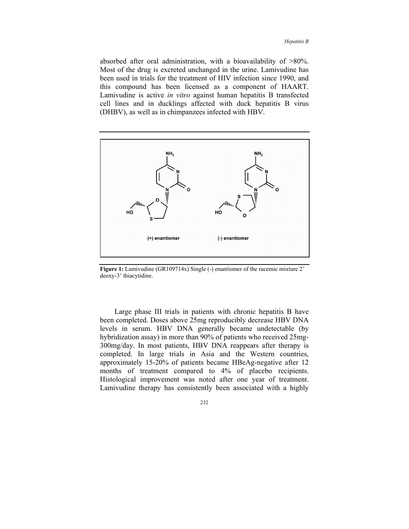absorbed after oral administration, with a bioavailability of >80%. Most of the drug is excreted unchanged in the urine. Lamivudine has been used in trials for the treatment of HIV infection since 1990, and this compound has been licensed as a component of HAART. Lamivudine is active *in vitro* against human hepatitis B transfected cell lines and in ducklings affected with duck hepatitis B virus (DHBV), as well as in chimpanzees infected with HBV.



Figure 1: Lamivudine (GR109714x) Single (-) enantiomer of the racemic mixture 2<sup>'</sup> deoxy-3' thiacytidine.

Large phase III trials in patients with chronic hepatitis B have been completed. Doses above 25mg reproducibly decrease HBV DNA levels in serum. HBV DNA generally became undetectable (by hybridization assay) in more than 90% of patients who received 25mg-300mg/day. In most patients, HBV DNA reappears after therapy is completed. In large trials in Asia and the Western countries, approximately 15-20% of patients became HBeAg-negative after 12 months of treatment compared to 4% of placebo recipients. Histological improvement was noted after one year of treatment. Lamivudine therapy has consistently been associated with a highly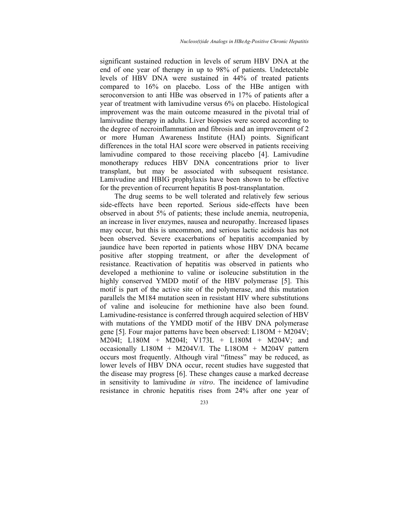significant sustained reduction in levels of serum HBV DNA at the end of one year of therapy in up to 98% of patients. Undetectable levels of HBV DNA were sustained in 44% of treated patients compared to 16% on placebo. Loss of the HBe antigen with seroconversion to anti HBe was observed in 17% of patients after a year of treatment with lamivudine versus 6% on placebo. Histological improvement was the main outcome measured in the pivotal trial of lamivudine therapy in adults. Liver biopsies were scored according to the degree of necroinflammation and fibrosis and an improvement of 2 or more Human Awareness Institute (HAI) points. Significant differences in the total HAI score were observed in patients receiving lamivudine compared to those receiving placebo [4]. Lamivudine monotherapy reduces HBV DNA concentrations prior to liver transplant, but may be associated with subsequent resistance. Lamivudine and HBIG prophylaxis have been shown to be effective for the prevention of recurrent hepatitis B post-transplantation.

The drug seems to be well tolerated and relatively few serious side-effects have been reported. Serious side-effects have been observed in about 5% of patients; these include anemia, neutropenia, an increase in liver enzymes, nausea and neuropathy. Increased lipases may occur, but this is uncommon, and serious lactic acidosis has not been observed. Severe exacerbations of hepatitis accompanied by jaundice have been reported in patients whose HBV DNA became positive after stopping treatment, or after the development of resistance. Reactivation of hepatitis was observed in patients who developed a methionine to valine or isoleucine substitution in the highly conserved YMDD motif of the HBV polymerase [5]. This motif is part of the active site of the polymerase, and this mutation parallels the M184 mutation seen in resistant HIV where substitutions of valine and isoleucine for methionine have also been found. Lamivudine-resistance is conferred through acquired selection of HBV with mutations of the YMDD motif of the HBV DNA polymerase gene [5]. Four major patterns have been observed: L18OM + M204V; M204I; L180M + M204I; V173L + L180M + M204V; and occasionally  $L180M + M204V/I$ . The  $L180M + M204V$  pattern occurs most frequently. Although viral "fitness" may be reduced, as lower levels of HBV DNA occur, recent studies have suggested that the disease may progress [6]. These changes cause a marked decrease in sensitivity to lamivudine *in vitro*. The incidence of lamivudine resistance in chronic hepatitis rises from 24% after one year of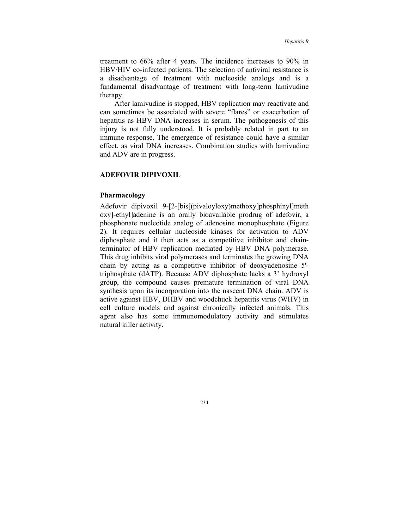treatment to 66% after 4 years. The incidence increases to 90% in HBV/HIV co-infected patients. The selection of antiviral resistance is a disadvantage of treatment with nucleoside analogs and is a fundamental disadvantage of treatment with long-term lamivudine therapy.

After lamivudine is stopped, HBV replication may reactivate and can sometimes be associated with severe "flares" or exacerbation of hepatitis as HBV DNA increases in serum. The pathogenesis of this injury is not fully understood. It is probably related in part to an immune response. The emergence of resistance could have a similar effect, as viral DNA increases. Combination studies with lamivudine and ADV are in progress.

#### **ADEFOVIR DIPIVOXIL**

## **Pharmacology**

Adefovir dipivoxil 9-[2-[bis[(pivaloyloxy)methoxy]phosphinyl]meth oxy]-ethyl]adenine is an orally bioavailable prodrug of adefovir, a phosphonate nucleotide analog of adenosine monophosphate (Figure 2). It requires cellular nucleoside kinases for activation to ADV diphosphate and it then acts as a competitive inhibitor and chainterminator of HBV replication mediated by HBV DNA polymerase. This drug inhibits viral polymerases and terminates the growing DNA chain by acting as a competitive inhibitor of deoxyadenosine 5' triphosphate (dATP). Because ADV diphosphate lacks a 3' hydroxyl group, the compound causes premature termination of viral DNA synthesis upon its incorporation into the nascent DNA chain. ADV is active against HBV, DHBV and woodchuck hepatitis virus (WHV) in cell culture models and against chronically infected animals. This agent also has some immunomodulatory activity and stimulates natural killer activity.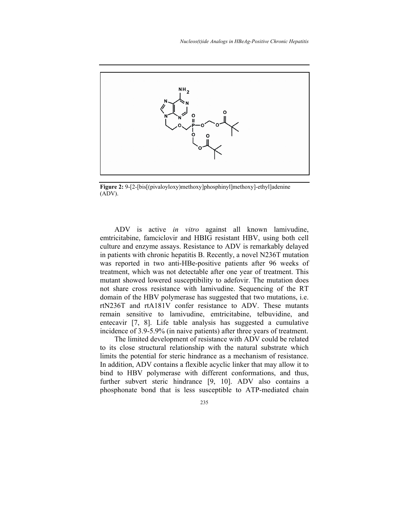

**Figure 2:** 9-[2-[bis[(pivaloyloxy)methoxy]phosphinyl]methoxy]-ethyl]adenine (ADV).

ADV is active *in vitro* against all known lamivudine, emtricitabine, famciclovir and HBIG resistant HBV, using both cell culture and enzyme assays. Resistance to ADV is remarkably delayed in patients with chronic hepatitis B. Recently, a novel N236T mutation was reported in two anti-HBe-positive patients after 96 weeks of treatment, which was not detectable after one year of treatment. This mutant showed lowered susceptibility to adefovir. The mutation does not share cross resistance with lamivudine. Sequencing of the RT domain of the HBV polymerase has suggested that two mutations, i.e. rtN236T and rtA181V confer resistance to ADV. These mutants remain sensitive to lamivudine, emtricitabine, telbuvidine, and entecavir [7, 8]. Life table analysis has suggested a cumulative incidence of 3.9-5.9% (in naive patients) after three years of treatment.

The limited development of resistance with ADV could be related to its close structural relationship with the natural substrate which limits the potential for steric hindrance as a mechanism of resistance. In addition, ADV contains a flexible acyclic linker that may allow it to bind to HBV polymerase with different conformations, and thus, further subvert steric hindrance [9, 10]. ADV also contains a phosphonate bond that is less susceptible to ATP-mediated chain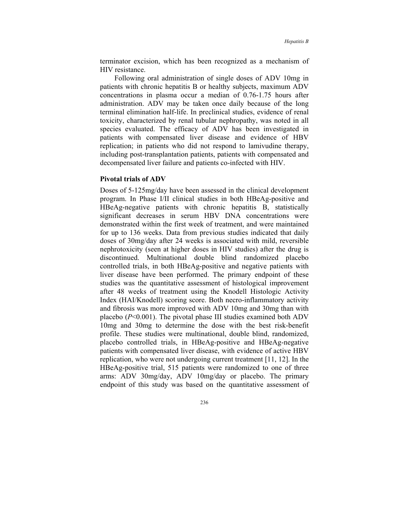terminator excision, which has been recognized as a mechanism of HIV resistance.

Following oral administration of single doses of ADV 10mg in patients with chronic hepatitis B or healthy subjects, maximum ADV concentrations in plasma occur a median of 0.76-1.75 hours after administration. ADV may be taken once daily because of the long terminal elimination half-life. In preclinical studies, evidence of renal toxicity, characterized by renal tubular nephropathy, was noted in all species evaluated. The efficacy of ADV has been investigated in patients with compensated liver disease and evidence of HBV replication; in patients who did not respond to lamivudine therapy, including post-transplantation patients, patients with compensated and decompensated liver failure and patients co-infected with HIV.

### **Pivotal trials of ADV**

Doses of 5-125mg/day have been assessed in the clinical development program. In Phase I/II clinical studies in both HBeAg-positive and HBeAg-negative patients with chronic hepatitis B, statistically significant decreases in serum HBV DNA concentrations were demonstrated within the first week of treatment, and were maintained for up to 136 weeks. Data from previous studies indicated that daily doses of 30mg/day after 24 weeks is associated with mild, reversible nephrotoxicity (seen at higher doses in HIV studies) after the drug is discontinued. Multinational double blind randomized placebo controlled trials, in both HBeAg-positive and negative patients with liver disease have been performed. The primary endpoint of these studies was the quantitative assessment of histological improvement after 48 weeks of treatment using the Knodell Histologic Activity Index (HAI/Knodell) scoring score. Both necro-inflammatory activity and fibrosis was more improved with ADV 10mg and 30mg than with placebo (*P*<0.001). The pivotal phase III studies examined both ADV 10mg and 30mg to determine the dose with the best risk-benefit profile. These studies were multinational, double blind, randomized, placebo controlled trials, in HBeAg-positive and HBeAg-negative patients with compensated liver disease, with evidence of active HBV replication, who were not undergoing current treatment [11, 12]. In the HBeAg-positive trial, 515 patients were randomized to one of three arms: ADV 30mg/day, ADV 10mg/day or placebo. The primary endpoint of this study was based on the quantitative assessment of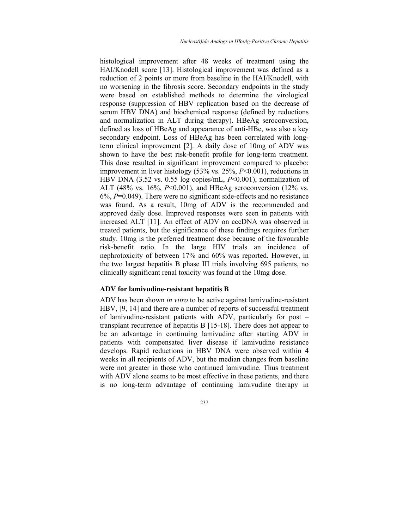histological improvement after 48 weeks of treatment using the HAI/Knodell score [13]. Histological improvement was defined as a reduction of 2 points or more from baseline in the HAI/Knodell, with no worsening in the fibrosis score. Secondary endpoints in the study were based on established methods to determine the virological response (suppression of HBV replication based on the decrease of serum HBV DNA) and biochemical response (defined by reductions and normalization in ALT during therapy). HBeAg seroconversion, defined as loss of HBeAg and appearance of anti-HBe, was also a key secondary endpoint. Loss of HBeAg has been correlated with longterm clinical improvement [2]. A daily dose of 10mg of ADV was shown to have the best risk-benefit profile for long-term treatment. This dose resulted in significant improvement compared to placebo: improvement in liver histology (53% vs. 25%, *P*<0.001), reductions in HBV DNA (3.52 vs. 0.55 log copies/mL, *P*<0.001), normalization of ALT (48% vs. 16%, *P*<0.001), and HBeAg seroconversion (12% vs. 6%, *P*=0.049). There were no significant side-effects and no resistance was found. As a result, 10mg of ADV is the recommended and approved daily dose. Improved responses were seen in patients with increased ALT [11]. An effect of ADV on cccDNA was observed in treated patients, but the significance of these findings requires further study. 10mg is the preferred treatment dose because of the favourable risk-benefit ratio. In the large HIV trials an incidence of nephrotoxicity of between 17% and 60% was reported. However, in the two largest hepatitis B phase III trials involving 695 patients, no clinically significant renal toxicity was found at the 10mg dose.

#### **ADV for lamivudine-resistant hepatitis B**

ADV has been shown *in vitro* to be active against lamivudine-resistant HBV, [9, 14] and there are a number of reports of successful treatment of lamivudine-resistant patients with ADV, particularly for post – transplant recurrence of hepatitis B [15-18]. There does not appear to be an advantage in continuing lamivudine after starting ADV in patients with compensated liver disease if lamivudine resistance develops. Rapid reductions in HBV DNA were observed within 4 weeks in all recipients of ADV, but the median changes from baseline were not greater in those who continued lamivudine. Thus treatment with ADV alone seems to be most effective in these patients, and there is no long-term advantage of continuing lamivudine therapy in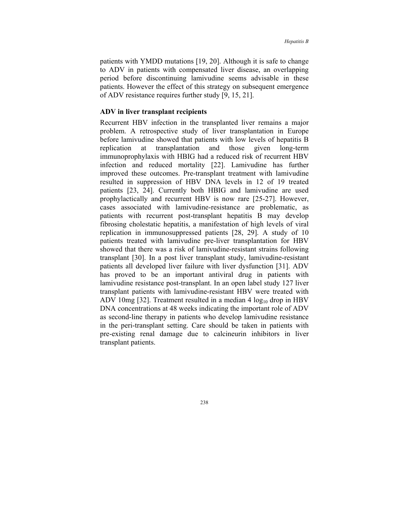patients with YMDD mutations [19, 20]. Although it is safe to change to ADV in patients with compensated liver disease, an overlapping period before discontinuing lamivudine seems advisable in these patients. However the effect of this strategy on subsequent emergence of ADV resistance requires further study [9, 15, 21].

# **ADV in liver transplant recipients**

Recurrent HBV infection in the transplanted liver remains a major problem. A retrospective study of liver transplantation in Europe before lamivudine showed that patients with low levels of hepatitis B replication at transplantation and those given long-term immunoprophylaxis with HBIG had a reduced risk of recurrent HBV infection and reduced mortality [22]. Lamivudine has further improved these outcomes. Pre-transplant treatment with lamivudine resulted in suppression of HBV DNA levels in 12 of 19 treated patients [23, 24]. Currently both HBIG and lamivudine are used prophylactically and recurrent HBV is now rare [25-27]. However, cases associated with lamivudine-resistance are problematic, as patients with recurrent post-transplant hepatitis B may develop fibrosing cholestatic hepatitis, a manifestation of high levels of viral replication in immunosuppressed patients [28, 29]. A study of 10 patients treated with lamivudine pre-liver transplantation for HBV showed that there was a risk of lamivudine-resistant strains following transplant [30]. In a post liver transplant study, lamivudine-resistant patients all developed liver failure with liver dysfunction [31]. ADV has proved to be an important antiviral drug in patients with lamivudine resistance post-transplant. In an open label study 127 liver transplant patients with lamivudine-resistant HBV were treated with ADV 10mg [32]. Treatment resulted in a median 4  $log_{10}$  drop in HBV DNA concentrations at 48 weeks indicating the important role of ADV as second-line therapy in patients who develop lamivudine resistance in the peri-transplant setting. Care should be taken in patients with pre-existing renal damage due to calcineurin inhibitors in liver transplant patients.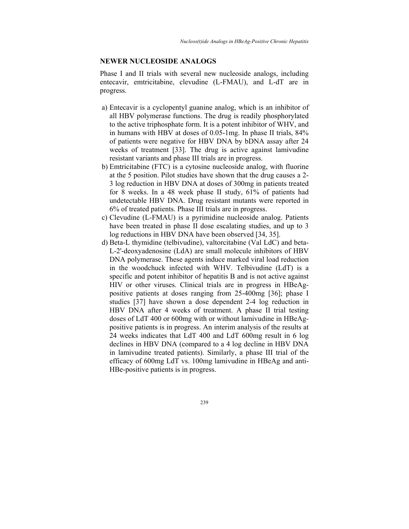#### **NEWER NUCLEOSIDE ANALOGS**

Phase I and II trials with several new nucleoside analogs, including entecavir, emtricitabine, clevudine (L-FMAU), and L-dT are in progress.

- a) Entecavir is a cyclopentyl guanine analog, which is an inhibitor of all HBV polymerase functions. The drug is readily phosphorylated to the active triphosphate form. It is a potent inhibitor of WHV, and in humans with HBV at doses of 0.05-1mg. In phase II trials, 84% of patients were negative for HBV DNA by bDNA assay after 24 weeks of treatment [33]. The drug is active against lamivudine resistant variants and phase III trials are in progress.
- b) Emtricitabine (FTC) is a cytosine nucleoside analog, with fluorine at the 5 position. Pilot studies have shown that the drug causes a 2- 3 log reduction in HBV DNA at doses of 300mg in patients treated for 8 weeks. In a 48 week phase II study, 61% of patients had undetectable HBV DNA. Drug resistant mutants were reported in 6% of treated patients. Phase III trials are in progress.
- c) Clevudine (L-FMAU) is a pyrimidine nucleoside analog. Patients have been treated in phase II dose escalating studies, and up to 3 log reductions in HBV DNA have been observed [34, 35].
- d) Beta-L thymidine (telbivudine), valtorcitabine (Val LdC) and beta-L-2'-deoxyadenosine (LdA) are small molecule inhibitors of HBV DNA polymerase. These agents induce marked viral load reduction in the woodchuck infected with WHV. Telbivudine (LdT) is a specific and potent inhibitor of hepatitis B and is not active against HIV or other viruses. Clinical trials are in progress in HBeAgpositive patients at doses ranging from 25-400mg [36]; phase I studies [37] have shown a dose dependent 2-4 log reduction in HBV DNA after 4 weeks of treatment. A phase II trial testing doses of LdT 400 or 600mg with or without lamivudine in HBeAgpositive patients is in progress. An interim analysis of the results at 24 weeks indicates that LdT 400 and LdT 600mg result in 6 log declines in HBV DNA (compared to a 4 log decline in HBV DNA in lamivudine treated patients). Similarly, a phase III trial of the efficacy of 600mg LdT vs. 100mg lamivudine in HBeAg and anti-HBe-positive patients is in progress.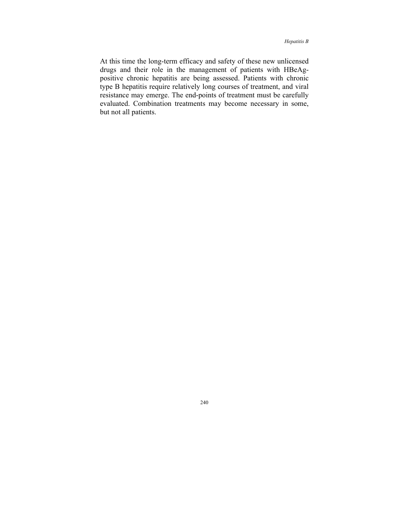At this time the long-term efficacy and safety of these new unlicensed drugs and their role in the management of patients with HBeAgpositive chronic hepatitis are being assessed. Patients with chronic type B hepatitis require relatively long courses of treatment, and viral resistance may emerge. The end-points of treatment must be carefully evaluated. Combination treatments may become necessary in some, but not all patients.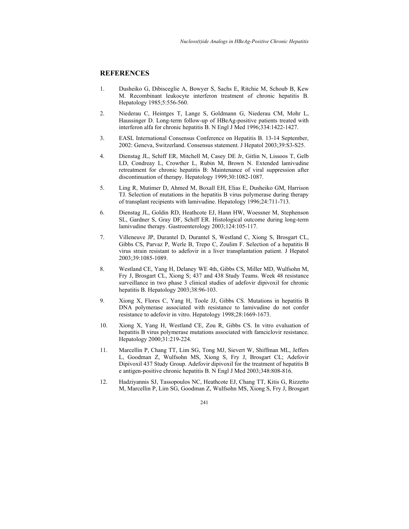# **REFERENCES**

- 1. Dusheiko G, Dibisceglie A, Bowyer S, Sachs E, Ritchie M, Schoub B, Kew M. Recombinant leukocyte interferon treatment of chronic hepatitis B. Hepatology 1985;5:556-560.
- 2. Niederau C, Heintges T, Lange S, Goldmann G, Niederau CM, Mohr L, Haussinger D. Long-term follow-up of HBeAg-positive patients treated with interferon alfa for chronic hepatitis B. N Engl J Med 1996;334:1422-1427.
- 3. EASL International Consensus Conference on Hepatitis B. 13-14 September, 2002: Geneva, Switzerland. Consensus statement. J Hepatol 2003;39:S3-S25.
- 4. Dienstag JL, Schiff ER, Mitchell M, Casey DE Jr, Gitlin N, Lissoos T, Gelb LD, Condreay L, Crowther L, Rubin M, Brown N. Extended lamivudine retreatment for chronic hepatitis B: Maintenance of viral suppression after discontinuation of therapy. Hepatology 1999;30:1082-1087.
- 5. Ling R, Mutimer D, Ahmed M, Boxall EH, Elias E, Dusheiko GM, Harrison TJ. Selection of mutations in the hepatitis B virus polymerase during therapy of transplant recipients with lamivudine. Hepatology 1996;24:711-713.
- 6. Dienstag JL, Goldin RD, Heathcote EJ, Hann HW, Woessner M, Stephenson SL, Gardner S, Gray DF, Schiff ER. Histological outcome during long-term lamivudine therapy. Gastroenterology 2003;124:105-117.
- 7. Villeneuve JP, Durantel D, Durantel S, Westland C, Xiong S, Brosgart CL, Gibbs CS, Parvaz P, Werle B, Trepo C, Zoulim F. Selection of a hepatitis B virus strain resistant to adefovir in a liver transplantation patient. J Hepatol 2003;39:1085-1089.
- 8. Westland CE, Yang H, Delaney WE 4th, Gibbs CS, Miller MD, Wulfsohn M, Fry J, Brosgart CL, Xiong S; 437 and 438 Study Teams. Week 48 resistance surveillance in two phase 3 clinical studies of adefovir dipivoxil for chronic hepatitis B. Hepatology 2003;38:96-103.
- 9. Xiong X, Flores C, Yang H, Toole JJ, Gibbs CS. Mutations in hepatitis B DNA polymerase associated with resistance to lamivudine do not confer resistance to adefovir in vitro. Hepatology 1998;28:1669-1673.
- 10. Xiong X, Yang H, Westland CE, Zou R, Gibbs CS. In vitro evaluation of hepatitis B virus polymerase mutations associated with famciclovir resistance. Hepatology 2000;31:219-224.
- 11. Marcellin P, Chang TT, Lim SG, Tong MJ, Sievert W, Shiffman ML, Jeffers L, Goodman Z, Wulfsohn MS, Xiong S, Fry J, Brosgart CL; Adefovir Dipivoxil 437 Study Group. Adefovir dipivoxil for the treatment of hepatitis B e antigen-positive chronic hepatitis B. N Engl J Med 2003;348:808-816.
- 12. Hadziyannis SJ, Tassopoulos NC, Heathcote EJ, Chang TT, Kitis G, Rizzetto M, Marcellin P, Lim SG, Goodman Z, Wulfsohn MS, Xiong S, Fry J, Brosgart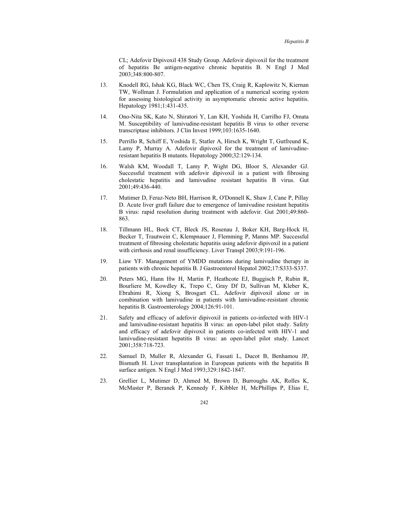CL; Adefovir Dipivoxil 438 Study Group. Adefovir dipivoxil for the treatment of hepatitis Be antigen-negative chronic hepatitis B. N Engl J Med 2003;348:800-807.

- 13. Knodell RG, Ishak KG, Black WC, Chen TS, Craig R, Kaplowitz N, Kiernan TW, Wollman J. Formulation and application of a numerical scoring system for assessing histological activity in asymptomatic chronic active hepatitis. Hepatology 1981;1:431-435.
- 14. Ono-Nita SK, Kato N, Shiratori Y, Lan KH, Yoshida H, Carrilho FJ, Omata M. Susceptibility of lamivudine-resistant hepatitis B virus to other reverse transcriptase inhibitors. J Clin Invest 1999;103:1635-1640.
- 15. Perrillo R, Schiff E, Yoshida E, Statler A, Hirsch K, Wright T, Gutfreund K, Lamy P, Murray A. Adefovir dipivoxil for the treatment of lamivudineresistant hepatitis B mutants. Hepatology 2000;32:129-134.
- 16. Walsh KM, Woodall T, Lamy P, Wight DG, Bloor S, Alexander GJ. Successful treatment with adefovir dipivoxil in a patient with fibrosing cholestatic hepatitis and lamivudine resistant hepatitis B virus. Gut 2001;49:436-440.
- 17. Mutimer D, Feraz-Neto BH, Harrison R, O'Donnell K, Shaw J, Cane P, Pillay D. Acute liver graft failure due to emergence of lamivudine resistant hepatitis B virus: rapid resolution during treatment with adefovir. Gut 2001;49:860- 863.
- 18. Tillmann HL, Bock CT, Bleck JS, Rosenau J, Boker KH, Barg-Hock H, Becker T, Trautwein C, Klempnauer J, Flemming P, Manns MP. Successful treatment of fibrosing cholestatic hepatitis using adefovir dipivoxil in a patient with cirrhosis and renal insufficiency. Liver Transpl 2003;9:191-196.
- 19. Liaw YF. Management of YMDD mutations during lamivudine therapy in patients with chronic hepatitis B. J Gastroenterol Hepatol 2002;17:S333-S337.
- 20. Peters MG, Hann Hw H, Martin P, Heathcote EJ, Buggisch P, Rubin R, Bourliere M, Kowdley K, Trepo C, Gray Df D, Sullivan M, Kleber K, Ebrahimi R, Xiong S, Brosgart CL. Adefovir dipivoxil alone or in combination with lamivudine in patients with lamivudine-resistant chronic hepatitis B. Gastroenterology 2004;126:91-101.
- 21. Safety and efficacy of adefovir dipivoxil in patients co-infected with HIV-1 and lamivudine-resistant hepatitis B virus: an open-label pilot study. Safety and efficacy of adefovir dipivoxil in patients co-infected with HIV-1 and lamivudine-resistant hepatitis B virus: an open-label pilot study. Lancet 2001;358:718-723.
- 22. Samuel D, Muller R, Alexander G, Fassati L, Ducot B, Benhamou JP, Bismuth H. Liver transplantation in European patients with the hepatitis B surface antigen. N Engl J Med 1993;329:1842-1847.
- 23. Grellier L, Mutimer D, Ahmed M, Brown D, Burroughs AK, Rolles K, McMaster P, Beranek P, Kennedy F, Kibbler H, McPhillips P, Elias E,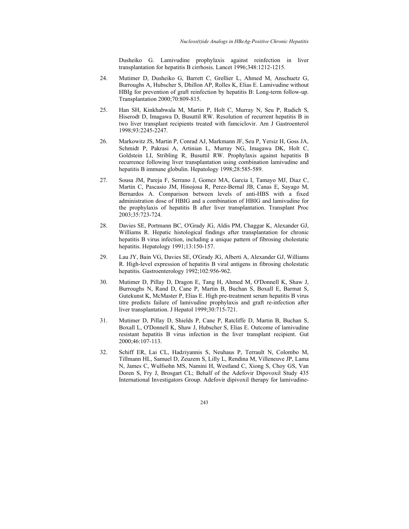Dusheiko G. Lamivudine prophylaxis against reinfection in liver transplantation for hepatitis B cirrhosis. Lancet 1996;348:1212-1215.

- 24. Mutimer D, Dusheiko G, Barrett C, Grellier L, Ahmed M, Anschuetz G, Burroughs A, Hubscher S, Dhillon AP, Rolles K, Elias E. Lamivudine without HBIg for prevention of graft reinfection by hepatitis B: Long-term follow-up. Transplantation 2000;70:809-815.
- 25. Han SH, Kinkhabwala M, Martin P, Holt C, Murray N, Seu P, Rudich S, Hiserodt D, Imagawa D, Busuttil RW. Resolution of recurrent hepatitis B in two liver transplant recipients treated with famciclovir. Am J Gastroenterol 1998;93:2245-2247.
- 26. Markowitz JS, Martin P, Conrad AJ, Markmann JF, Seu P, Yersiz H, Goss JA, Schmidt P, Pakrasi A, Artinian L, Murray NG, Imagawa DK, Holt C, Goldstein LI, Stribling R, Busuttil RW. Prophylaxis against hepatitis B recurrence following liver transplantation using combination lamivudine and hepatitis B immune globulin. Hepatology 1998;28:585-589.
- 27. Sousa JM, Pareja F, Serrano J, Gomez MA, Garcia I, Tamayo MJ, Diaz C, Martin C, Pascasio JM, Hinojosa R, Perez-Bernal JB, Canas E, Sayago M, Bernardos A. Comparison between levels of anti-HBS with a fixed administration dose of HBIG and a combination of HBIG and lamivudine for the prophylaxis of hepatitis B after liver transplantation. Transplant Proc 2003;35:723-724.
- 28. Davies SE, Portmann BC, O'Grady JG, Aldis PM, Chaggar K, Alexander GJ, Williams R. Hepatic histological findings after transplantation for chronic hepatitis B virus infection, including a unique pattern of fibrosing cholestatic hepatitis. Hepatology 1991;13:150-157.
- 29. Lau JY, Bain VG, Davies SE, O'Grady JG, Alberti A, Alexander GJ, Williams R. High-level expression of hepatitis B viral antigens in fibrosing cholestatic hepatitis. Gastroenterology 1992;102:956-962.
- 30. Mutimer D, Pillay D, Dragon E, Tang H, Ahmed M, O'Donnell K, Shaw J, Burroughs N, Rand D, Cane P, Martin B, Buchan S, Boxall E, Barmat S, Gutekunst K, McMaster P, Elias E. High pre-treatment serum hepatitis B virus titre predicts failure of lamivudine prophylaxis and graft re-infection after liver transplantation. J Hepatol 1999;30:715-721.
- 31. Mutimer D, Pillay D, Shields P, Cane P, Ratcliffe D, Martin B, Buchan S, Boxall L, O'Donnell K, Shaw J, Hubscher S, Elias E. Outcome of lamivudine resistant hepatitis B virus infection in the liver transplant recipient. Gut 2000;46:107-113.
- 32. Schiff ER, Lai CL, Hadziyannis S, Neuhaus P, Terrault N, Colombo M, Tillmann HL, Samuel D, Zeuzem S, Lilly L, Rendina M, Villeneuve JP, Lama N, James C, Wulfsohn MS, Namini H, Westland C, Xiong S, Choy GS, Van Doren S, Fry J, Brosgart CL; Behalf of the Adefovir Dipovoxil Study 435 International Investigators Group. Adefovir dipivoxil therapy for lamivudine-